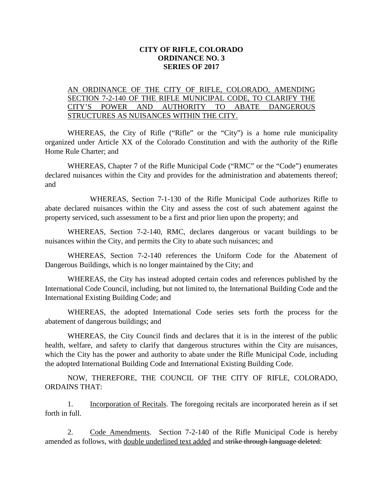## **CITY OF RIFLE, COLORADO ORDINANCE NO. 3 SERIES OF 2017**

## AN ORDINANCE OF THE CITY OF RIFLE, COLORADO, AMENDING SECTION 7-2-140 OF THE RIFLE MUNICIPAL CODE, TO CLARIFY THE CITY'S POWER AND AUTHORITY TO ABATE DANGEROUS STRUCTURES AS NUISANCES WITHIN THE CITY.

WHEREAS, the City of Rifle ("Rifle" or the "City") is a home rule municipality organized under Article XX of the Colorado Constitution and with the authority of the Rifle Home Rule Charter; and

WHEREAS, Chapter 7 of the Rifle Municipal Code ("RMC" or the "Code") enumerates declared nuisances within the City and provides for the administration and abatements thereof; and

WHEREAS, Section 7-1-130 of the Rifle Municipal Code authorizes Rifle to abate declared nuisances within the City and assess the cost of such abatement against the property serviced, such assessment to be a first and prior lien upon the property; and

WHEREAS, Section 7-2-140, RMC, declares dangerous or vacant buildings to be nuisances within the City, and permits the City to abate such nuisances; and

WHEREAS, Section 7-2-140 references the Uniform Code for the Abatement of Dangerous Buildings, which is no longer maintained by the City; and

WHEREAS, the City has instead adopted certain codes and references published by the International Code Council, including, but not limited to, the International Building Code and the International Existing Building Code; and

WHEREAS, the adopted International Code series sets forth the process for the abatement of dangerous buildings; and

WHEREAS, the City Council finds and declares that it is in the interest of the public health, welfare, and safety to clarify that dangerous structures within the City are nuisances, which the City has the power and authority to abate under the Rifle Municipal Code, including the adopted International Building Code and International Existing Building Code.

NOW, THEREFORE, THE COUNCIL OF THE CITY OF RIFLE, COLORADO, ORDAINS THAT:

1. Incorporation of Recitals. The foregoing recitals are incorporated herein as if set forth in full.

2. Code Amendments. Section 7-2-140 of the Rifle Municipal Code is hereby amended as follows, with double underlined text added and strike through language deleted: